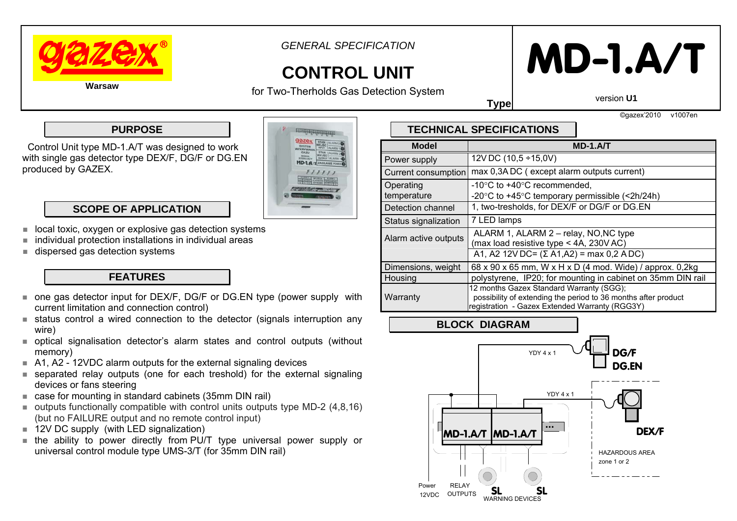

*GENERAL SPECIFICATION* 

## **CONTROL UNIT**

for Two-Therholds Gas Detection System

# **MD-1.A/T**

version **U1**

**Type**

©gazex'2010 v1007en

#### **PURPOSE**

 Control Unit type MD-1.A/T was designed to work with single gas detector type DEX/F, DG/F or DG.EN produced by GAZEX.



#### **SCOPE OF APPLICATION**

- П local toxic, oxygen or explosive gas detection systems
- П individual protection installations in individual areas
- П dispersed gas detection systems

#### **FEATURES**

- one gas detector input for DEX/F, DG/F or DG.EN type (power supply with current limitation and connection control)
- status control a wired connection to the detector (signals interruption any wire)
- optical signalisation detector's alarm states and control outputs (without memory)
- A1, A2 12VDC alarm outputs for the external signaling devices
- separated relay outputs (one for each treshold) for the external signaling devices or fans steering
- case for mounting in standard cabinets (35mm DIN rail)
- $\blacksquare$  outputs functionally compatible with control units outputs type MD-2 (4,8,16) (but no FAILURE output and no remote control input)
- 12V DC supply (with LED signalization)
- the ability to power directly from PU/T type universal power supply or universal control module type UMS-3/T (for 35mm DIN rail)

### **TECHNICAL SPECIFICATIONS**

| <b>Model</b>             | MD-1.A/T                                                                                                                                                     |
|--------------------------|--------------------------------------------------------------------------------------------------------------------------------------------------------------|
| Power supply             | 12V DC (10,5 ÷15,0V)                                                                                                                                         |
| Current consumption      | max 0,3ADC (except alarm outputs current)                                                                                                                    |
| Operating<br>temperature | $-10^{\circ}$ C to $+40^{\circ}$ C recommended,<br>-20 $\degree$ C to +45 $\degree$ C temporary permissible (<2h/24h)                                        |
| Detection channel        | 1, two-tresholds, for DEX/F or DG/F or DG.EN                                                                                                                 |
| Status signalization     | 7 LED lamps                                                                                                                                                  |
| Alarm active outputs     | ALARM 1, ALARM 2 - relay, NO, NC type<br>(max load resistive type < 4A, 230V AC)                                                                             |
|                          | A1, A2 12V DC= $(\Sigma A1, A2)$ = max 0,2 ADC)                                                                                                              |
| Dimensions, weight       | 68 x 90 x 65 mm, W x H x D (4 mod. Wide) / approx. 0,2kg                                                                                                     |
| Housing                  | polystyrene, IP20; for mounting in cabinet on 35mm DIN rail                                                                                                  |
| Warranty                 | 12 months Gazex Standard Warranty (SGG);<br>possibility of extending the period to 36 months after product<br>registration - Gazex Extended Warranty (RGG3Y) |